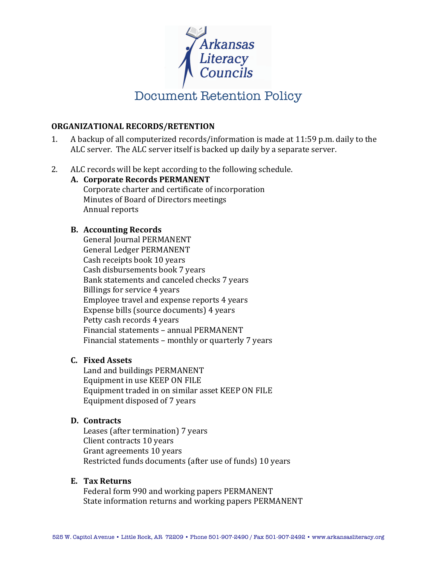

### **ORGANIZATIONAL RECORDS/RETENTION**

- 1. A backup of all computerized records/information is made at 11:59 p.m. daily to the ALC server. The ALC server itself is backed up daily by a separate server.
- 2. ALC records will be kept according to the following schedule.

# **A. Corporate Records PERMANENT** Corporate charter and certificate of incorporation Minutes of Board of Directors meetings Annual reports

## **B. Accounting Records**

General Journal PERMANENT General Ledger PERMANENT Cash receipts book 10 years Cash disbursements book 7 years Bank statements and canceled checks 7 years Billings for service 4 years Employee travel and expense reports 4 years Expense bills (source documents) 4 years Petty cash records 4 years Financial statements – annual PERMANENT Financial statements - monthly or quarterly 7 years

## **C. Fixed Assets**

Land and buildings PERMANENT Equipment in use KEEP ON FILE Equipment traded in on similar asset KEEP ON FILE Equipment disposed of 7 years

## **D. Contracts**

Leases (after termination) 7 years Client contracts 10 years Grant agreements 10 years Restricted funds documents (after use of funds) 10 years

## **E. Tax Returns**

Federal form 990 and working papers PERMANENT State information returns and working papers PERMANENT